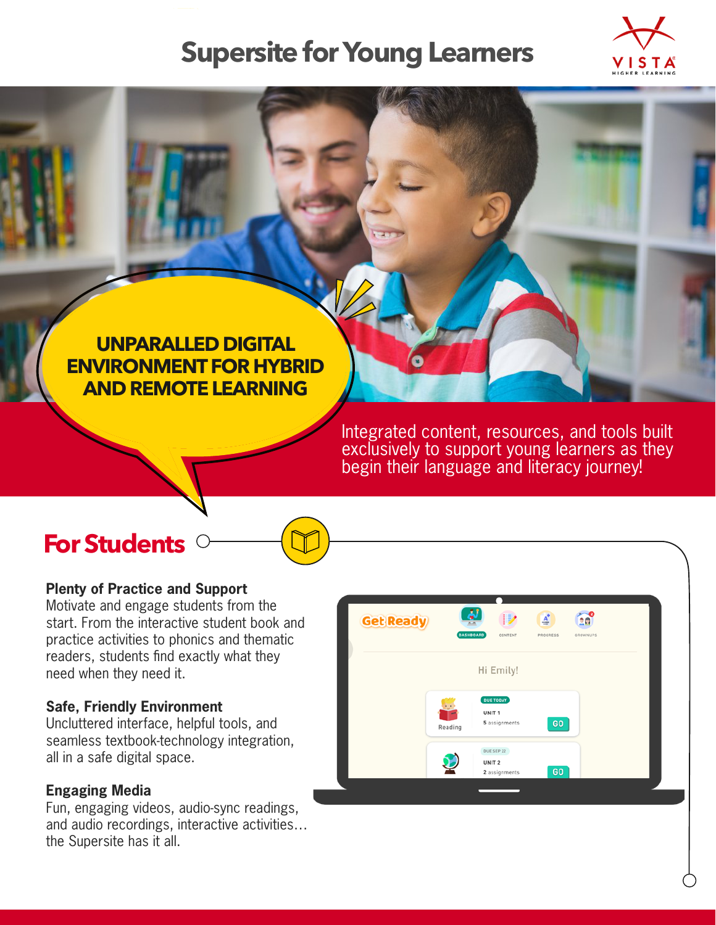# **Supersite for Young Learners**



### **UNPARALLED DIGITAL ENVIRONMENT FOR HYBRID AND REMOTE LEARNING**

Integrated content, resources, and tools built exclusively to support young learners as they begin their language and literacy journey!

### **For Students**

#### **Plenty of Practice and Support**

Motivate and engage students from the start. From the interactive student book and practice activities to phonics and thematic readers, students find exactly what they need when they need it.

#### **Safe, Friendly Environment**

Uncluttered interface, helpful tools, and seamless textbook-technology integration, all in a safe digital space.

#### **Engaging Media**

Fun, engaging videos, audio-sync readings, and audio recordings, interactive activities… the Supersite has it all.